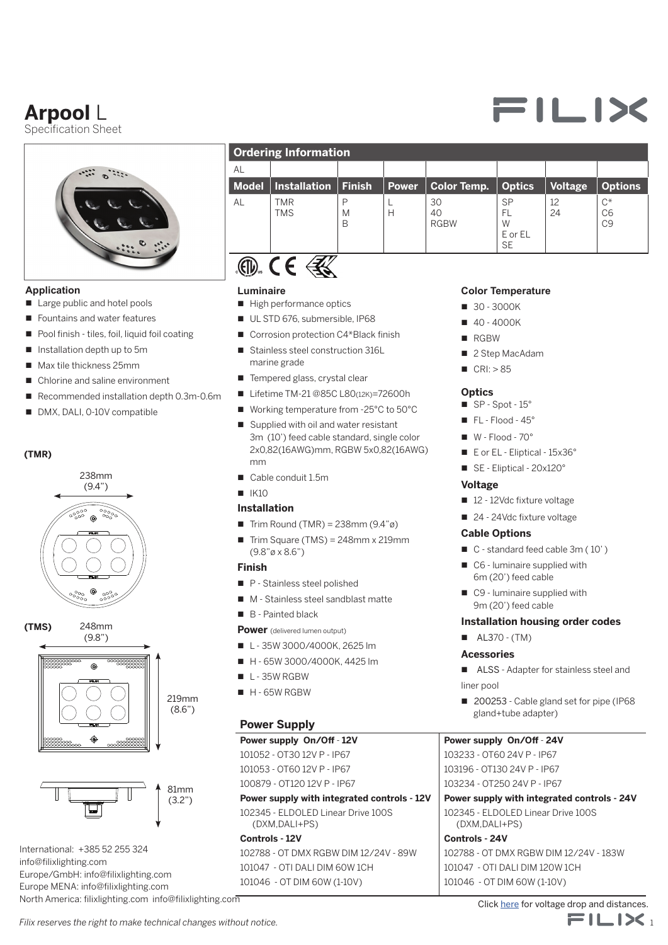# **Arpool** L

Specification Sheet



#### **Application**

- Large public and hotel pools
- Fountains and water features
- $\blacksquare$  Pool finish tiles, foil, liquid foil coating
- $\blacksquare$  Installation depth up to 5m
- $Max$  tile thickness 25mm
- Chlorine and saline environment
- $\blacksquare$  Recommended installation depth 0.3m-0.6m
- DMX, DALI, 0-10V compatible

#### **(TMR)**



248mm **(TMS)**





International: +385 52 255 324 info@filixlighting.com Europe/GmbH: info@filixlighting.com Europe MENA: info@filixlighting.com North America: filixlighting.com info@filixlighting.com

| <b>Ordering Information</b> |     |  |  |                                                                                  |    |  |                    |
|-----------------------------|-----|--|--|----------------------------------------------------------------------------------|----|--|--------------------|
| AI                          |     |  |  |                                                                                  |    |  |                    |
|                             |     |  |  | Model   Installation   Finish   Power   Color Temp.   Optics   Voltage   Options |    |  |                    |
| AL                          | TMR |  |  |                                                                                  | CD |  | $\curvearrowright$ |

H

40 RGBW

M B

# $\mathcal{E}(\mathbb{D})$   $\mathcal{E}(\mathbb{D})$  $\langle 3 \rangle$

**TMS** 

#### **Luminaire**

- $\blacksquare$  High performance optics
- UL STD 676, submersible, IP68
- Corrosion protection C4\*Black finish
- Stainless steel construction 316L marine grade
- Tempered glass, crystal clear
- Lifetime TM-21 @85C L80(12K)=72600h
- Working temperature from -25°C to 50°C
- $\blacksquare$  Supplied with oil and water resistant 3m (10') feed cable standard, single color 2x0,82(16AWG)mm, RGBW 5x0,82(16AWG) mm
- Cable conduit 1.5m

#### $N = 1K10$

#### **Installation**

- Full Trim Round (TMR) =  $238$ mm ( $9.4"$ ø)
- $r$  Trim Square (TMS) = 248mm x 219mm (9.8"ø x 8.6")

#### **Finish**

- P Stainless steel polished
- M Stainless steel sandblast matte
- B Painted black

#### **Power** (delivered lumen output)

- $L 35W 3000/4000K$ , 2625 lm
- H 65W 3000/4000K, 4425 lm
- $L 35W$  RGBW
- $H 65W$  RGBW

#### **Power Supply**

#### **Power supply On/Off** - **12V**

101052 - OT30 12V P - IP67 101053 - OT60 12V P - IP67

- 100879 OT120 12V P IP67
- **Power supply with integrated controls 12V** 102345 - ELDOLED Linear Drive 100S (DXM,DALI+PS)

#### **Controls - 12V**

102788 - OT DMX RGBW DIM 12/24V - 89W 101047 - OTI DALI DIM 60W 1CH 101046 - OT DIM 60W (1-10V)

#### **Color Temperature**

SP FL W E or EL **SE** 

12  $24$   $C^*$ C6  $C9$ 

- $\blacksquare$  30 3000K
- $10 4000K$
- **n** RGBW
- 2 Step MacAdam
- $CRI: > 85$

#### **Optics**

- $\blacksquare$  SP Spot 15°
- $\blacksquare$  FL Flood 45°
- $W Flood 70°$
- E or EL Eliptical 15x36°
- SE Eliptical 20x120°

#### **Voltage**

- 12 12Vdc fixture voltage
- 24 24Vdc fixture voltage

#### **Cable Options**

- C standard feed cable 3m (10')
- $\Box$  C6 luminaire supplied with 6m (20') feed cable
- $\Box$  C9 luminaire supplied with 9m (20') feed cable

#### **Installation housing order codes**

 $\blacksquare$  AL370 - (TM)

#### **Acessories**

- ALSS Adapter for stainless steel and liner pool
- 200253 Cable gland set for pipe (IP68 gland+tube adapter)

#### **Power supply On/Off** - **24V**

103233 - OT60 24V P - IP67 103196 - OT130 24V P - IP67 103234 - OT250 24V P - IP67

**Power supply with integrated controls - 24V**

102345 - ELDOLED Linear Drive 100S (DXM,DALI+PS)

**Controls - 24V** 102788 - OT DMX RGBW DIM 12/24V - 183W 101047 - OTI DALI DIM 120W 1CH 101046 - OT DIM 60W (1-10V)